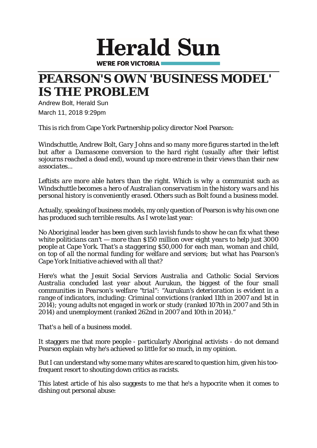## **Herald Sun**

**WE'RE FOR VICTORIA** 

## **PEARSON'S OWN 'BUSINESS MODEL' IS THE PROBLEM**

Andrew Bolt, Herald Sun March 11, 2018 9:29pm

This is rich from Cape York [Partnership](https://www.theaustralian.com.au/news/inquirer/conservatives-leave-door-open-to-progressive-change/news-story/106e0a22011eafef9229352a4a7d1123) policy director Noel Pearson:

*Windschuttle, Andrew Bolt, Gary Johns and so many more figures started in the left but after a Damascene conversion to the hard right (usually after their leftist sojourns reached a dead end), wound up more extreme in their views than their new associates...*

*Leftists are more able haters than the right. Which is why a communist such as Windschuttle becomes a hero of Australian conservatism in the history wars and his personal history is conveniently erased. Others such as Bolt found a business model.*

Actually, speaking of business models, my only question of Pearson is why his own one has produced such terrible results. As I wrote last year:

*No Aboriginal leader has been given such lavish funds to show he can fix what these white politicians can't — more than \$150 million over eight years to help just 3000 people at Cape York. That's a staggering \$50,000 for each man, woman and child, on top of all the normal funding for welfare and services; but what has Pearson's Cape York Initiative achieved with all that?*

*Here's what the Jesuit Social Services Australia and Catholic Social Services Australia concluded last year about Aurukun, the biggest of the four small communities in Pearson's welfare "trial": "Aurukun's deterioration is evident in a range of indicators, including: Criminal convictions (ranked 11th in 2007 and 1st in 2014); young adults not engaged in work or study (ranked 107th in 2007 and 5th in 2014) and unemployment (ranked 262nd in 2007 and 10th in 2014)."*

*That's a hell of a business model.*

It staggers me that more people - particularly Aboriginal activists - do not demand Pearson explain why he's achieved so little for so much, in my opinion.

But I can understand why some many whites are scared to question him, given his toofrequent resort to shouting down critics as racists.

This latest article of his also suggests to me that he's a hypocrite when it comes to dishing out personal abuse: